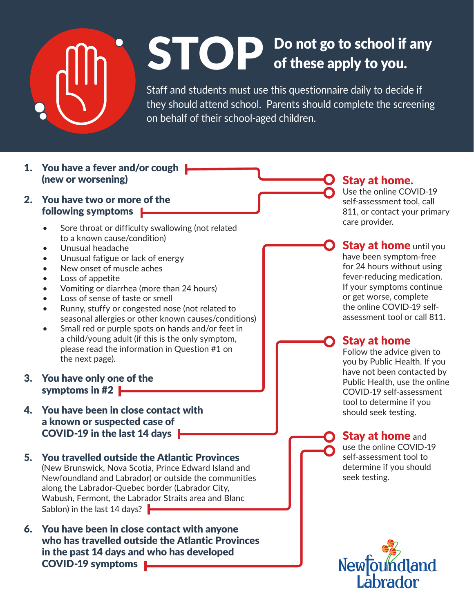

# STOP Do not go to school if any of these apply to you. of these apply to you.

Staff and students must use this questionnaire daily to decide if they should attend school. Parents should complete the screening on behalf of their school-aged children.

- 1. You have a fever and/or cough **|** (new or worsening)
- 2. You have two or more of the following symptoms
	- Sore throat or difficulty swallowing (not related to a known cause/condition)
	- Unusual headache
	- Unusual fatigue or lack of energy
	- New onset of muscle aches
	- Loss of appetite
	- Vomiting or diarrhea (more than 24 hours)
	- Loss of sense of taste or smell
	- Runny, stuffy or congested nose (not related to seasonal allergies or other known causes/conditions)
	- Small red or purple spots on hands and/or feet in a child/young adult (if this is the only symptom, please read the information in Question #1 on the next page).
- 3. You have only one of the symptoms in #2
- 4. You have been in close contact with a known or suspected case of COVID-19 in the last 14 days  $\blacktriangleright$
- 5. You travelled outside the Atlantic Provinces (New Brunswick, Nova Scotia, Prince Edward Island and Newfoundland and Labrador) or outside the communities along the Labrador-Quebec border (Labrador City, Wabush, Fermont, the Labrador Straits area and Blanc Sablon) in the last 14 days?  $\blacktriangleright$
- 6. You have been in close contact with anyone who has travelled outside the Atlantic Provinces in the past 14 days and who has developed COVID-19 symptoms

#### Stay at home.

Use the online COVID-19 self-assessment tool, call 811, or contact your primary care provider.

**Stay at home** until you have been symptom-free for 24 hours without using fever-reducing medication. If your symptoms continue or get worse, complete the online COVID-19 selfassessment tool or call 811.

#### Stay at home

Follow the advice given to you by Public Health. If you have not been contacted by Public Health, use the online COVID-19 self-assessment tool to determine if you should seek testing.

#### **Stay at home and**

use the online COVID-19 self-assessment tool to determine if you should seek testing.